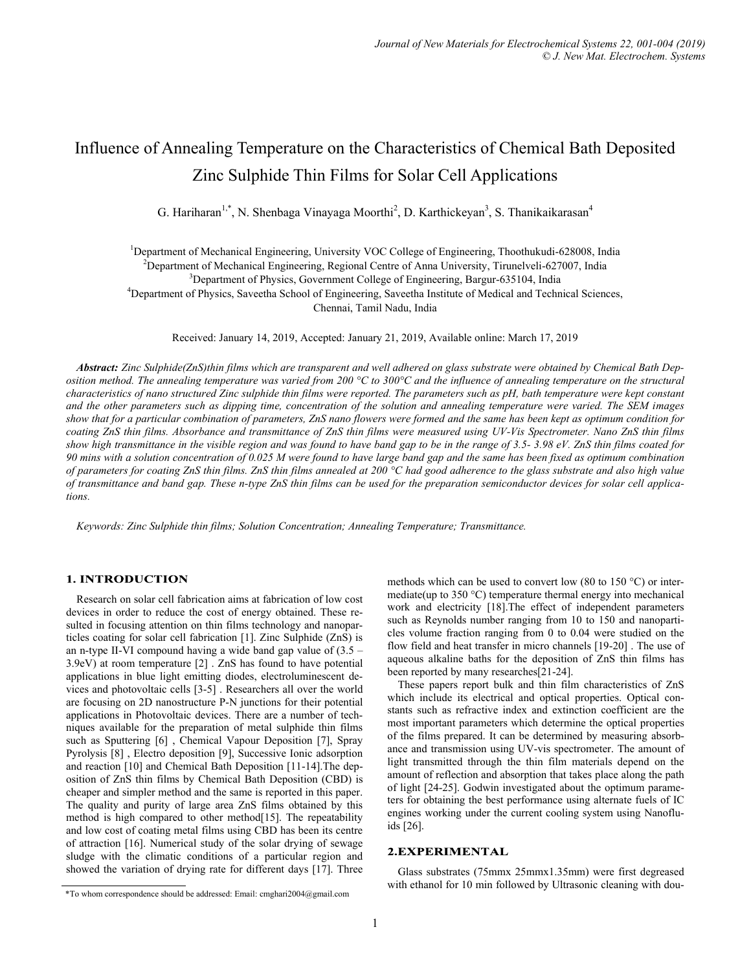# Influence of Annealing Temperature on the Characteristics of Chemical Bath Deposited Zinc Sulphide Thin Films for Solar Cell Applications

G. Hariharan<sup>1,\*</sup>, N. Shenbaga Vinayaga Moorthi<sup>2</sup>, D. Karthickeyan<sup>3</sup>, S. Thanikaikarasan<sup>4</sup>

<sup>1</sup>Department of Mechanical Engineering, University VOC College of Engineering, Thoothukudi-628008, India

<sup>2</sup>Department of Mechanical Engineering, Regional Centre of Anna University, Tirunelveli-627007, India

<sup>3</sup>Department of Physics, Government College of Engineering, Bargur-635104, India

<sup>4</sup>Department of Physics, Saveetha School of Engineering, Saveetha Institute of Medical and Technical Sciences, Chennai, Tamil Nadu, India

Received: January 14, 2019, Accepted: January 21, 2019, Available online: March 17, 2019

*Abstract: Zinc Sulphide(ZnS)thin films which are transparent and well adhered on glass substrate were obtained by Chemical Bath Deposition method. The annealing temperature was varied from 200 °C to 300°C and the influence of annealing temperature on the structural characteristics of nano structured Zinc sulphide thin films were reported. The parameters such as pH, bath temperature were kept constant and the other parameters such as dipping time, concentration of the solution and annealing temperature were varied. The SEM images show that for a particular combination of parameters, ZnS nano flowers were formed and the same has been kept as optimum condition for coating ZnS thin films. Absorbance and transmittance of ZnS thin films were measured using UV-Vis Spectrometer. Nano ZnS thin films show high transmittance in the visible region and was found to have band gap to be in the range of 3.5- 3.98 eV. ZnS thin films coated for 90 mins with a solution concentration of 0.025 M were found to have large band gap and the same has been fixed as optimum combination of parameters for coating ZnS thin films. ZnS thin films annealed at 200 °C had good adherence to the glass substrate and also high value of transmittance and band gap. These n-type ZnS thin films can be used for the preparation semiconductor devices for solar cell applications.*

*Keywords: Zinc Sulphide thin films; Solution Concentration; Annealing Temperature; Transmittance.*

## 1. INTRODUCTION

Research on solar cell fabrication aims at fabrication of low cost devices in order to reduce the cost of energy obtained. These resulted in focusing attention on thin films technology and nanoparticles coating for solar cell fabrication [1]. Zinc Sulphide (ZnS) is an n-type II-VI compound having a wide band gap value of (3.5 – 3.9eV) at room temperature [2] . ZnS has found to have potential applications in blue light emitting diodes, electroluminescent devices and photovoltaic cells [3-5] . Researchers all over the world are focusing on 2D nanostructure P-N junctions for their potential applications in Photovoltaic devices. There are a number of techniques available for the preparation of metal sulphide thin films such as Sputtering [6] , Chemical Vapour Deposition [7], Spray Pyrolysis [8] , Electro deposition [9], Successive Ionic adsorption and reaction [10] and Chemical Bath Deposition [11-14].The deposition of ZnS thin films by Chemical Bath Deposition (CBD) is cheaper and simpler method and the same is reported in this paper. The quality and purity of large area ZnS films obtained by this method is high compared to other method<sup>[15]</sup>. The repeatability and low cost of coating metal films using CBD has been its centre of attraction [16]. Numerical study of the solar drying of sewage sludge with the climatic conditions of a particular region and showed the variation of drying rate for different days [17]. Three methods which can be used to convert low (80 to 150 °C) or intermediate(up to 350 °C) temperature thermal energy into mechanical work and electricity [18].The effect of independent parameters such as Reynolds number ranging from 10 to 150 and nanoparticles volume fraction ranging from 0 to 0.04 were studied on the flow field and heat transfer in micro channels [19-20] . The use of aqueous alkaline baths for the deposition of ZnS thin films has been reported by many researches[21-24].

These papers report bulk and thin film characteristics of ZnS which include its electrical and optical properties. Optical constants such as refractive index and extinction coefficient are the most important parameters which determine the optical properties of the films prepared. It can be determined by measuring absorbance and transmission using UV-vis spectrometer. The amount of light transmitted through the thin film materials depend on the amount of reflection and absorption that takes place along the path of light [24-25]. Godwin investigated about the optimum parameters for obtaining the best performance using alternate fuels of IC engines working under the current cooling system using Nanofluids [26].

## 2.EXPERIMENTAL

Glass substrates (75mmx 25mmx1.35mm) were first degreased with ethanol for 10 min followed by Ultrasonic cleaning with dou-

<sup>\*</sup>To whom correspondence should be addressed: Email: [cmghari2004@gmail.com](mailto:cmghari2004@gmail.com)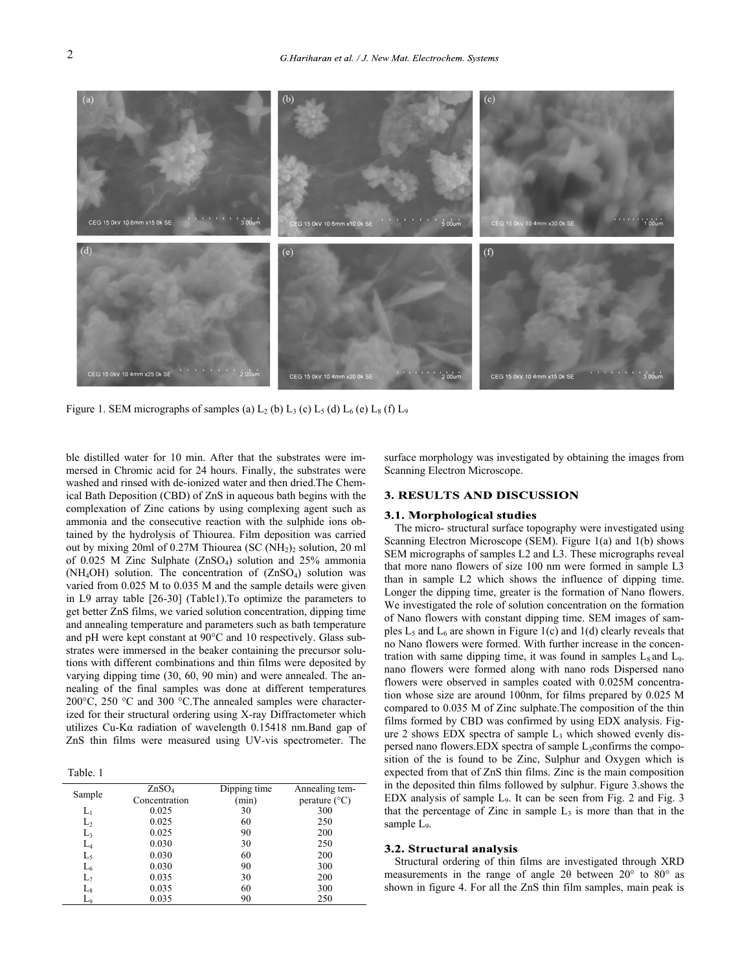

Figure 1. SEM micrographs of samples (a)  $L_2$  (b)  $L_3$  (c)  $L_5$  (d)  $L_6$  (e)  $L_8$  (f)  $L_9$ 

ble distilled water for 10 min. After that the substrates were immersed in Chromic acid for 24 hours. Finally, the substrates were washed and rinsed with de-ionized water and then dried.The Chemical Bath Deposition (CBD) of ZnS in aqueous bath begins with the complexation of Zinc cations by using complexing agent such as ammonia and the consecutive reaction with the sulphide ions obtained by the hydrolysis of Thiourea. Film deposition was carried out by mixing 20ml of 0.27M Thiourea (SC (NH2)<sup>2</sup> solution, 20 ml of 0.025 M Zinc Sulphate (ZnSO4) solution and 25% ammonia (NH4OH) solution. The concentration of (ZnSO4) solution was varied from 0.025 M to 0.035 M and the sample details were given in L9 array table [26-30] (Table1).To optimize the parameters to get better ZnS films, we varied solution concentration, dipping time and annealing temperature and parameters such as bath temperature and pH were kept constant at 90°C and 10 respectively. Glass substrates were immersed in the beaker containing the precursor solutions with different combinations and thin films were deposited by varying dipping time (30, 60, 90 min) and were annealed. The annealing of the final samples was done at different temperatures 200°C, 250 °C and 300 °C.The annealed samples were characterized for their structural ordering using X-ray Diffractometer which utilizes Cu-Kα radiation of wavelength 0.15418 nm.Band gap of ZnS thin films were measured using UV-vis spectrometer. The

Table. 1

| Sample         | ZnSO <sub>4</sub> | Dipping time | Annealing tem-         |
|----------------|-------------------|--------------|------------------------|
|                | Concentration     | (min)        | perature $(^{\circ}C)$ |
| $\rm L_{1}$    | 0.025             | 30           | 300                    |
| L2             | 0.025             | 60           | 250                    |
| L3             | 0.025             | 90           | 200                    |
| $L_4$          | 0.030             | 30           | 250                    |
| L5             | 0.030             | 60           | 200                    |
| L <sub>6</sub> | 0.030             | 90           | 300                    |
| L7             | 0.035             | 30           | 200                    |
| $L_8$          | 0.035             | 60           | 300                    |
|                | 0.035             | 90           | 250                    |
|                |                   |              |                        |

surface morphology was investigated by obtaining the images from Scanning Electron Microscope.

## **3. RESULTS AND DISCUSSION**

#### 3.1. Morphological studies

The micro- structural surface topography were investigated using Scanning Electron Microscope (SEM). Figure 1(a) and 1(b) shows SEM micrographs of samples L2 and L3. These micrographs reveal that more nano flowers of size 100 nm were formed in sample L3 than in sample L2 which shows the influence of dipping time. Longer the dipping time, greater is the formation of Nano flowers. We investigated the role of solution concentration on the formation of Nano flowers with constant dipping time. SEM images of samples  $L_5$  and  $L_6$  are shown in Figure 1(c) and 1(d) clearly reveals that no Nano flowers were formed. With further increase in the concentration with same dipping time, it was found in samples  $L_8$  and  $L_9$ . nano flowers were formed along with nano rods Dispersed nano flowers were observed in samples coated with 0.025M concentration whose size are around 100nm, for films prepared by 0.025 M compared to 0.035 M of Zinc sulphate.The composition of the thin films formed by CBD was confirmed by using EDX analysis. Figure 2 shows EDX spectra of sample  $L_3$  which showed evenly dispersed nano flowers.EDX spectra of sample L<sub>3</sub>confirms the composition of the is found to be Zinc, Sulphur and Oxygen which is expected from that of ZnS thin films. Zinc is the main composition in the deposited thin films followed by sulphur. Figure 3.shows the EDX analysis of sample L9. It can be seen from Fig. 2 and Fig. 3 that the percentage of Zinc in sample  $L_3$  is more than that in the sample L<sub>9</sub>.

# 3.2. Structural analysis

Structural ordering of thin films are investigated through XRD measurements in the range of angle 2θ between 20° to 80° as shown in figure 4. For all the ZnS thin film samples, main peak is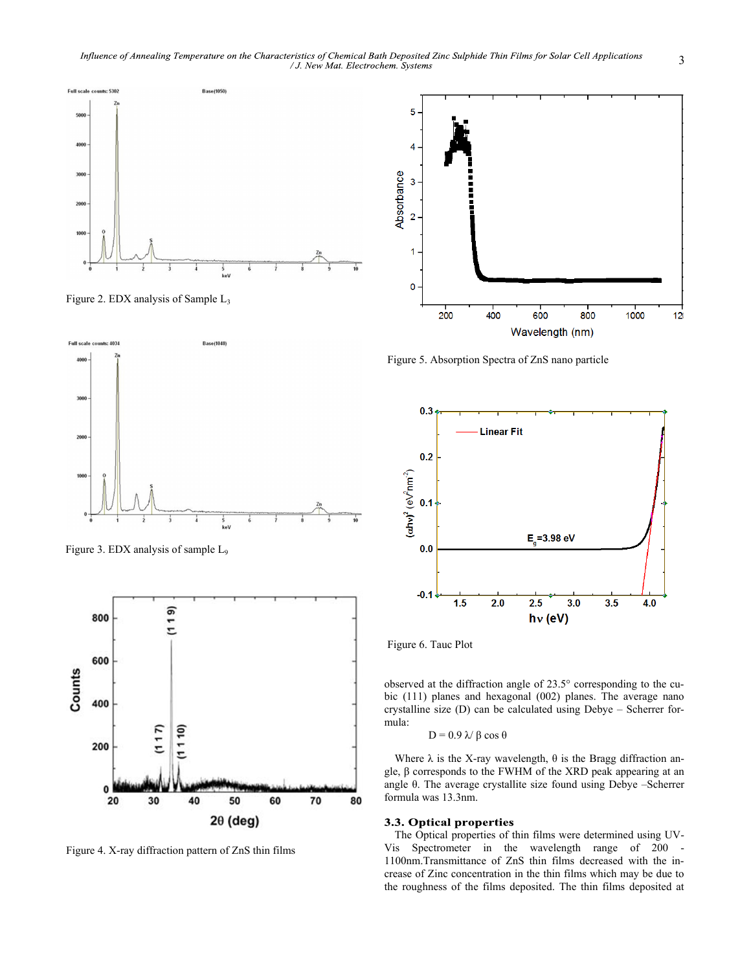

Figure 2. EDX analysis of Sample L<sup>3</sup>



Figure 3. EDX analysis of sample L<sup>9</sup>



Figure 4. X-ray diffraction pattern of ZnS thin films



Figure 5. Absorption Spectra of ZnS nano particle



Figure 6. Tauc Plot

observed at the diffraction angle of 23.5° corresponding to the cubic (111) planes and hexagonal (002) planes. The average nano crystalline size (D) can be calculated using Debye – Scherrer formula:

$$
D = 0.9 \text{ N } \beta \cos \theta
$$

Where  $\lambda$  is the X-ray wavelength,  $\theta$  is the Bragg diffraction angle, β corresponds to the FWHM of the XRD peak appearing at an angle θ. The average crystallite size found using Debye –Scherrer formula was 13.3nm.

## 3.3. Optical properties

The Optical properties of thin films were determined using UV-Vis Spectrometer in the wavelength range of 200 - 1100nm.Transmittance of ZnS thin films decreased with the increase of Zinc concentration in the thin films which may be due to the roughness of the films deposited. The thin films deposited at